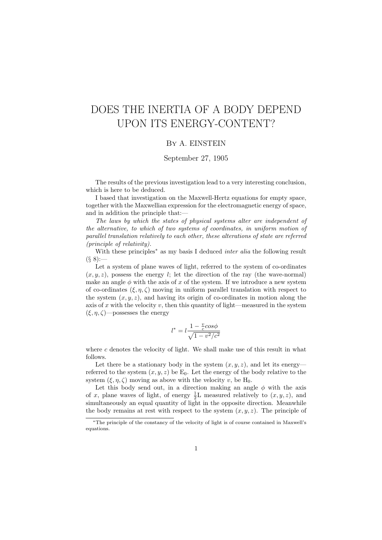# DOES THE INERTIA OF A BODY DEPEND UPON ITS ENERGY-CONTENT?

### By A. EINSTEIN

## September 27, 1905

The results of the previous investigation lead to a very interesting conclusion, which is here to be deduced.

I based that investigation on the Maxwell-Hertz equations for empty space, together with the Maxwellian expression for the electromagnetic energy of space, and in addition the principle that:—

The laws by which the states of physical systems alter are independent of the alternative, to which of two systems of coordinates, in uniform motion of parallel translation relatively to each other, these alterations of state are referred (principle of relativity).

With these principles<sup>∗</sup> as my basis I deduced *inter alia* the following result  $(88)$ :

Let a system of plane waves of light, referred to the system of co-ordinates  $(x, y, z)$ , possess the energy l; let the direction of the ray (the wave-normal) make an angle  $\phi$  with the axis of x of the system. If we introduce a new system of co-ordinates  $(\xi, \eta, \zeta)$  moving in uniform parallel translation with respect to the system  $(x, y, z)$ , and having its origin of co-ordinates in motion along the axis of x with the velocity  $v$ , then this quantity of light—measured in the system  $(\xi, \eta, \zeta)$ —possesses the energy

$$
l^* = l \frac{1 - \frac{v}{c} \cos \phi}{\sqrt{1 - v^2/c^2}}
$$

where  $c$  denotes the velocity of light. We shall make use of this result in what follows.

Let there be a stationary body in the system  $(x, y, z)$ , and let its energy referred to the system  $(x, y, z)$  be  $E_0$ . Let the energy of the body relative to the system  $(\xi, \eta, \zeta)$  moving as above with the velocity v, be H<sub>0</sub>.

Let this body send out, in a direction making an angle  $\phi$  with the axis of x, plane waves of light, of energy  $\frac{1}{2}$ L measured relatively to  $(x, y, z)$ , and simultaneously an equal quantity of light in the opposite direction. Meanwhile the body remains at rest with respect to the system  $(x, y, z)$ . The principle of

<sup>∗</sup>The principle of the constancy of the velocity of light is of course contained in Maxwell's equations.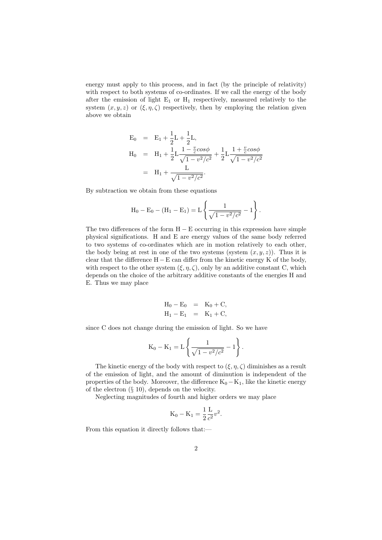energy must apply to this process, and in fact (by the principle of relativity) with respect to both systems of co-ordinates. If we call the energy of the body after the emission of light  $E_1$  or  $H_1$  respectively, measured relatively to the system  $(x, y, z)$  or  $(\xi, \eta, \zeta)$  respectively, then by employing the relation given above we obtain

$$
E_0 = E_1 + \frac{1}{2}L + \frac{1}{2}L,
$$
  
\n
$$
H_0 = H_1 + \frac{1}{2}L + \frac{1 - \frac{v}{c}\cos\phi}{\sqrt{1 - v^2/c^2}} + \frac{1}{2}L + \frac{1 + \frac{v}{c}\cos\phi}{\sqrt{1 - v^2/c^2}}
$$
  
\n
$$
= H_1 + \frac{L}{\sqrt{1 - v^2/c^2}}.
$$

By subtraction we obtain from these equations

$$
H_0 - E_0 - (H_1 - E_1) = L \left\{ \frac{1}{\sqrt{1 - v^2/c^2}} - 1 \right\}.
$$

The two differences of the form  $H - E$  occurring in this expression have simple physical significations. H and E are energy values of the same body referred to two systems of co-ordinates which are in motion relatively to each other, the body being at rest in one of the two systems (system  $(x, y, z)$ ). Thus it is clear that the difference  $H - E$  can differ from the kinetic energy K of the body, with respect to the other system  $(\xi, \eta, \zeta)$ , only by an additive constant C, which depends on the choice of the arbitrary additive constants of the energies H and E. Thus we may place

$$
H_0 - E_0 = K_0 + C,
$$
  
\n
$$
H_1 - E_1 = K_1 + C,
$$

since C does not change during the emission of light. So we have

$$
K_0 - K_1 = L \left\{ \frac{1}{\sqrt{1 - v^2/c^2}} - 1 \right\}.
$$

The kinetic energy of the body with respect to  $(\xi, \eta, \zeta)$  diminishes as a result of the emission of light, and the amount of diminution is independent of the properties of the body. Moreover, the difference  $K_0 - K_1$ , like the kinetic energy of the electron (§ 10), depends on the velocity.

Neglecting magnitudes of fourth and higher orders we may place

$$
K_0 - K_1 = \frac{1}{2} \frac{L}{c^2} v^2.
$$

From this equation it directly follows that:—